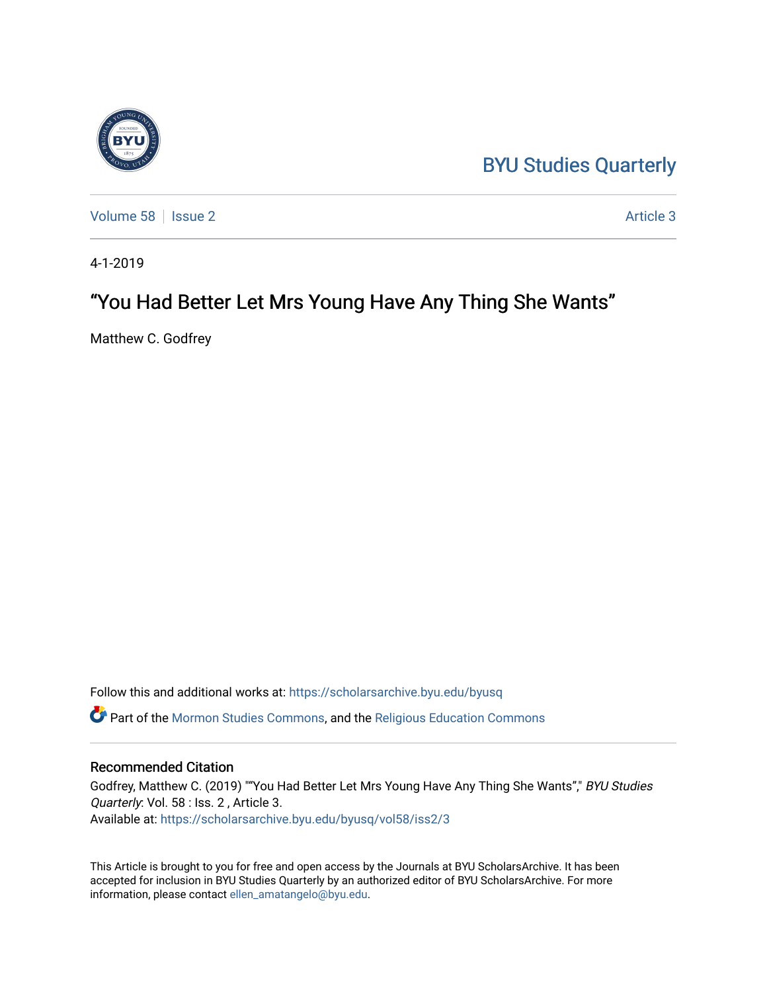## [BYU Studies Quarterly](https://scholarsarchive.byu.edu/byusq)



[Volume 58](https://scholarsarchive.byu.edu/byusq/vol58) | [Issue 2](https://scholarsarchive.byu.edu/byusq/vol58/iss2) Article 3

4-1-2019

## "You Had Better Let Mrs Young Have Any Thing She Wants"

Matthew C. Godfrey

Follow this and additional works at: [https://scholarsarchive.byu.edu/byusq](https://scholarsarchive.byu.edu/byusq?utm_source=scholarsarchive.byu.edu%2Fbyusq%2Fvol58%2Fiss2%2F3&utm_medium=PDF&utm_campaign=PDFCoverPages)  Part of the [Mormon Studies Commons](http://network.bepress.com/hgg/discipline/1360?utm_source=scholarsarchive.byu.edu%2Fbyusq%2Fvol58%2Fiss2%2F3&utm_medium=PDF&utm_campaign=PDFCoverPages), and the [Religious Education Commons](http://network.bepress.com/hgg/discipline/1414?utm_source=scholarsarchive.byu.edu%2Fbyusq%2Fvol58%2Fiss2%2F3&utm_medium=PDF&utm_campaign=PDFCoverPages) 

#### Recommended Citation

Godfrey, Matthew C. (2019) ""You Had Better Let Mrs Young Have Any Thing She Wants"," BYU Studies Quarterly: Vol. 58 : Iss. 2 , Article 3. Available at: [https://scholarsarchive.byu.edu/byusq/vol58/iss2/3](https://scholarsarchive.byu.edu/byusq/vol58/iss2/3?utm_source=scholarsarchive.byu.edu%2Fbyusq%2Fvol58%2Fiss2%2F3&utm_medium=PDF&utm_campaign=PDFCoverPages)

This Article is brought to you for free and open access by the Journals at BYU ScholarsArchive. It has been accepted for inclusion in BYU Studies Quarterly by an authorized editor of BYU ScholarsArchive. For more information, please contact [ellen\\_amatangelo@byu.edu.](mailto:ellen_amatangelo@byu.edu)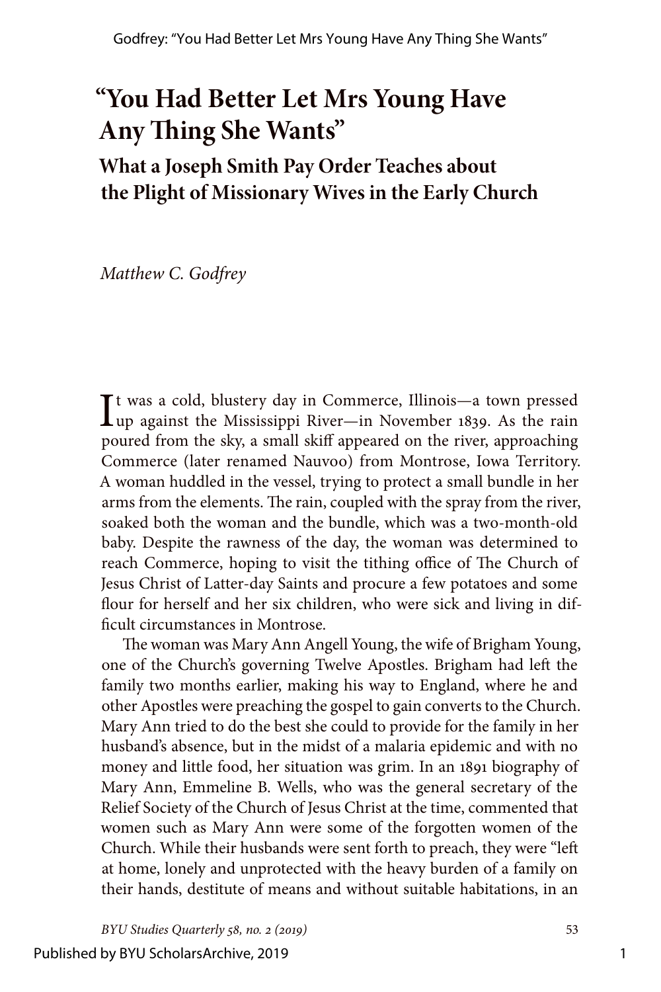# **"You Had Better Let Mrs Young Have Any Thing She Wants"**

**What a Joseph Smith Pay Order Teaches about the Plight of Missionary Wives in the Early Church**

*Matthew C. Godfrey*

It was a cold, blustery day in Commerce, Illinois—a town pressed<br>  $\iint$ up against the Mississippi River—in November 1839. As the rain up against the Mississippi River—in November 1839. As the rain poured from the sky, a small skiff appeared on the river, approaching Commerce (later renamed Nauvoo) from Montrose, Iowa Territory. A woman huddled in the vessel, trying to protect a small bundle in her arms from the elements. The rain, coupled with the spray from the river, soaked both the woman and the bundle, which was a two-month-old baby. Despite the rawness of the day, the woman was determined to reach Commerce, hoping to visit the tithing office of The Church of Jesus Christ of Latter-day Saints and procure a few potatoes and some flour for herself and her six children, who were sick and living in difficult circumstances in Montrose.

The woman was Mary Ann Angell Young, the wife of Brigham Young, one of the Church's governing Twelve Apostles. Brigham had left the family two months earlier, making his way to England, where he and other Apostles were preaching the gospel to gain converts to the Church. Mary Ann tried to do the best she could to provide for the family in her husband's absence, but in the midst of a malaria epidemic and with no money and little food, her situation was grim. In an 1891 biography of Mary Ann, Emmeline B. Wells, who was the general secretary of the Relief Society of the Church of Jesus Christ at the time, commented that women such as Mary Ann were some of the forgotten women of the Church. While their husbands were sent forth to preach, they were "left at home, lonely and unprotected with the heavy burden of a family on their hands, destitute of means and without suitable habitations, in an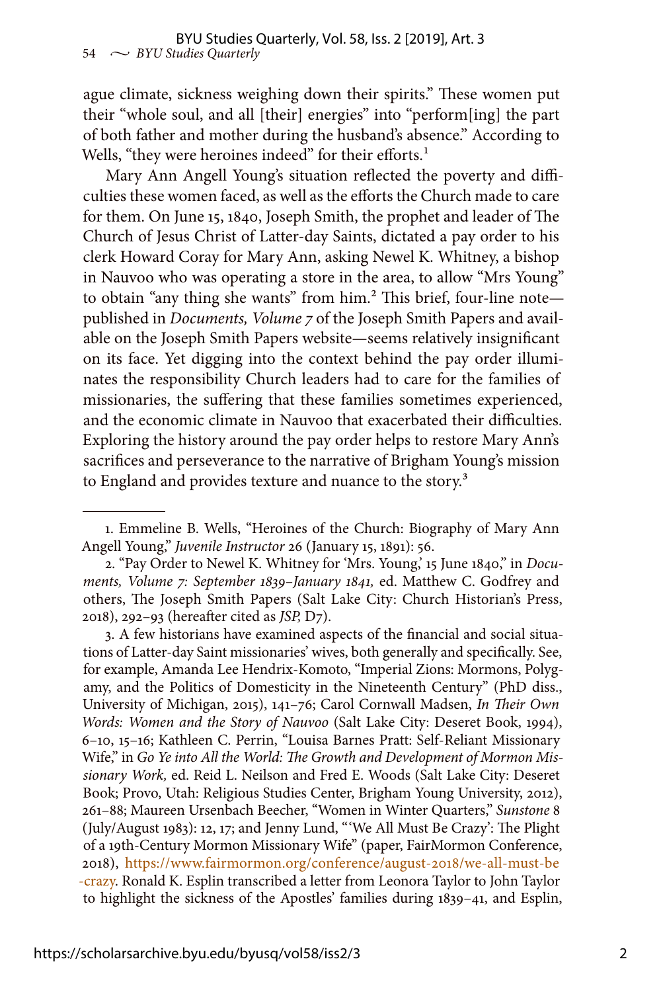ague climate, sickness weighing down their spirits." These women put their "whole soul, and all [their] energies" into "perform[ing] the part of both father and mother during the husband's absence." According to Wells, "they were heroines indeed" for their efforts.<sup>1</sup>

Mary Ann Angell Young's situation reflected the poverty and difficulties these women faced, as well as the efforts the Church made to care for them. On June 15, 1840, Joseph Smith, the prophet and leader of The Church of Jesus Christ of Latter-day Saints, dictated a pay order to his clerk Howard Coray for Mary Ann, asking Newel K. Whitney, a bishop in Nauvoo who was operating a store in the area, to allow "Mrs Young" to obtain "any thing she wants" from him.<sup>2</sup> This brief, four-line notepublished in *Documents, Volume 7* of the Joseph Smith Papers and available on the Joseph Smith Papers website—seems relatively insignificant on its face. Yet digging into the context behind the pay order illuminates the responsibility Church leaders had to care for the families of missionaries, the suffering that these families sometimes experienced, and the economic climate in Nauvoo that exacerbated their difficulties. Exploring the history around the pay order helps to restore Mary Ann's sacrifices and perseverance to the narrative of Brigham Young's mission to England and provides texture and nuance to the story.<sup>3</sup>

3. A few historians have examined aspects of the financial and social situations of Latter-day Saint missionaries' wives, both generally and specifically. See, for example, Amanda Lee Hendrix-Komoto, "Imperial Zions: Mormons, Polygamy, and the Politics of Domesticity in the Nineteenth Century" (PhD diss., University of Michigan, 2015), 141–76; Carol Cornwall Madsen, *In Their Own Words: Women and the Story of Nauvoo* (Salt Lake City: Deseret Book, 1994), 6–10, 15–16; Kathleen C. Perrin, "Louisa Barnes Pratt: Self-Reliant Missionary Wife," in *Go Ye into All the World: The Growth and Development of Mormon Missionary Work,* ed. Reid L. Neilson and Fred E. Woods (Salt Lake City: Deseret Book; Provo, Utah: Religious Studies Center, Brigham Young University, 2012), 261–88; Maureen Ursenbach Beecher, "Women in Winter Quarters," *Sunstone* 8 (July/August 1983): 12, 17; and Jenny Lund, "'We All Must Be Crazy': The Plight of a 19th-Century Mormon Missionary Wife" (paper, FairMormon Conference, 2018), [https://www.fairmormon.org/conference/august-2018/we-all-must-be](https://www.fairmormon.org/conference/august-2018/we-all-must-be-crazy) [-crazy](https://www.fairmormon.org/conference/august-2018/we-all-must-be-crazy). Ronald K. Esplin transcribed a letter from Leonora Taylor to John Taylor to highlight the sickness of the Apostles' families during 1839–41, and Esplin,

<sup>1.</sup> Emmeline B. Wells, "Heroines of the Church: Biography of Mary Ann Angell Young," *Juvenile Instructor* 26 (January 15, 1891): 56.

<sup>2. &</sup>quot;Pay Order to Newel K. Whitney for 'Mrs. Young,' 15 June 1840," in *Documents, Volume 7: September 1839–January 1841,* ed. Matthew C. Godfrey and others, The Joseph Smith Papers (Salt Lake City: Church Historian's Press, 2018), 292–93 (hereafter cited as *JSP,* D7).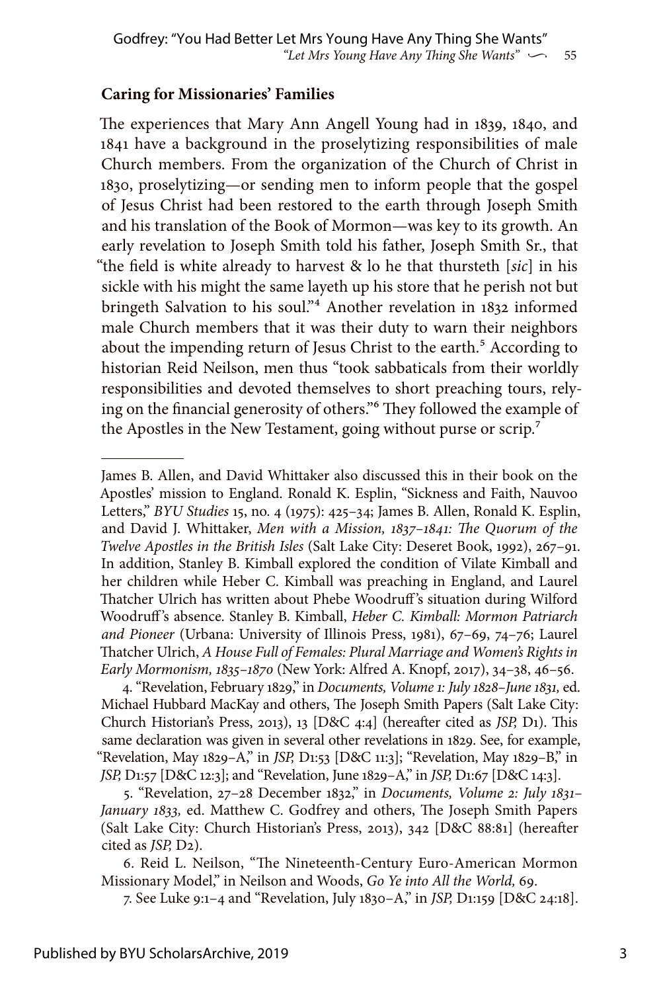#### **Caring for Missionaries' Families**

The experiences that Mary Ann Angell Young had in 1839, 1840, and 1841 have a background in the proselytizing responsibilities of male Church members. From the organization of the Church of Christ in 1830, proselytizing—or sending men to inform people that the gospel of Jesus Christ had been restored to the earth through Joseph Smith and his translation of the Book of Mormon—was key to its growth. An early revelation to Joseph Smith told his father, Joseph Smith Sr., that "the field is white already to harvest & lo he that thursteth [*sic*] in his sickle with his might the same layeth up his store that he perish not but bringeth Salvation to his soul."4 Another revelation in 1832 informed male Church members that it was their duty to warn their neighbors about the impending return of Jesus Christ to the earth.<sup>5</sup> According to historian Reid Neilson, men thus "took sabbaticals from their worldly responsibilities and devoted themselves to short preaching tours, relying on the financial generosity of others."6 They followed the example of the Apostles in the New Testament, going without purse or scrip.<sup>7</sup>

4. "Revelation, February 1829," in *Documents, Volume 1: July 1828–June 1831,* ed. Michael Hubbard MacKay and others, The Joseph Smith Papers (Salt Lake City: Church Historian's Press, 2013), 13 [D&C 4:4] (hereafter cited as *JSP,* D1). This same declaration was given in several other revelations in 1829. See, for example, "Revelation, May 1829–A," in *JSP,* D1:53 [D&C 11:3]; "Revelation, May 1829–B," in *JSP,* D1:57 [D&C 12:3]; and "Revelation, June 1829–A," in *JSP,* D1:67 [D&C 14:3].

5. "Revelation, 27–28 December 1832," in *Documents, Volume 2: July 1831– January 1833,* ed. Matthew C. Godfrey and others, The Joseph Smith Papers (Salt Lake City: Church Historian's Press, 2013), 342 [D&C 88:81] (hereafter cited as *JSP,* D2).

6. Reid L. Neilson, "The Nineteenth-Century Euro-American Mormon Missionary Model," in Neilson and Woods, *Go Ye into All the World,* 69.

7. See Luke 9:1–4 and "Revelation, July 1830–A," in *JSP,* D1:159 [D&C 24:18].

James B. Allen, and David Whittaker also discussed this in their book on the Apostles' mission to England. Ronald K. Esplin, "Sickness and Faith, Nauvoo Letters," *BYU Studies* 15, no. 4 (1975): 425–34; James B. Allen, Ronald K. Esplin, and David J. Whittaker, *Men with a Mission, 1837–1841: The Quorum of the Twelve Apostles in the British Isles* (Salt Lake City: Deseret Book, 1992), 267–91. In addition, Stanley B. Kimball explored the condition of Vilate Kimball and her children while Heber C. Kimball was preaching in England, and Laurel Thatcher Ulrich has written about Phebe Woodruff 's situation during Wilford Woodruff 's absence. Stanley B. Kimball, *Heber C. Kimball: Mormon Patriarch and Pioneer* (Urbana: University of Illinois Press, 1981), 67–69, 74–76; Laurel Thatcher Ulrich, *A House Full of Females: Plural Marriage and Women's Rights in Early Mormonism, 1835–1870* (New York: Alfred A. Knopf, 2017), 34–38, 46–56.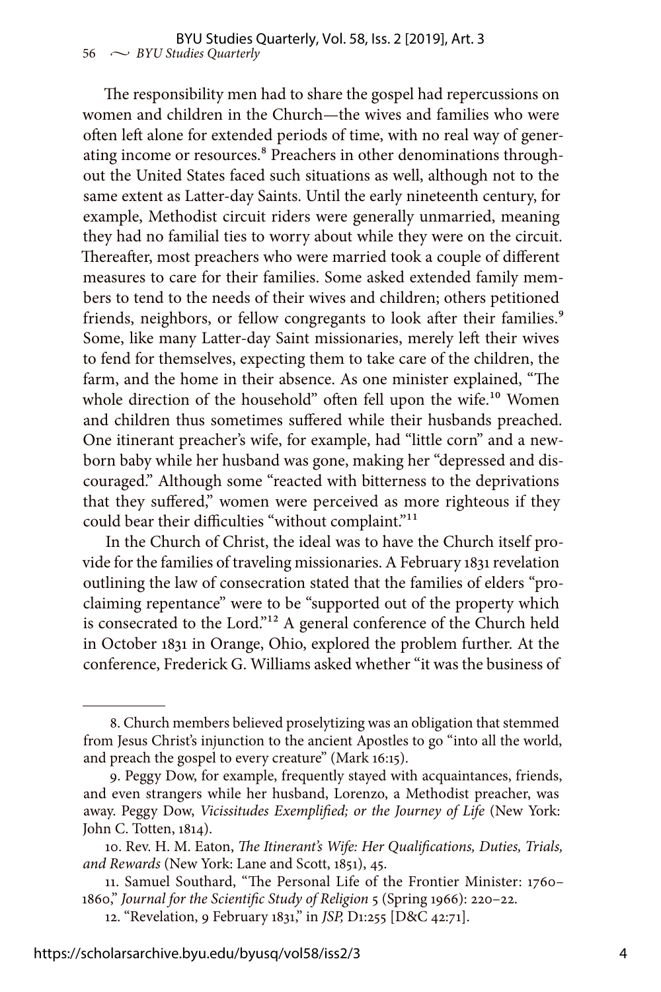The responsibility men had to share the gospel had repercussions on women and children in the Church—the wives and families who were often left alone for extended periods of time, with no real way of generating income or resources.<sup>8</sup> Preachers in other denominations throughout the United States faced such situations as well, although not to the same extent as Latter-day Saints. Until the early nineteenth century, for example, Methodist circuit riders were generally unmarried, meaning they had no familial ties to worry about while they were on the circuit. Thereafter, most preachers who were married took a couple of different measures to care for their families. Some asked extended family members to tend to the needs of their wives and children; others petitioned friends, neighbors, or fellow congregants to look after their families.<sup>9</sup> Some, like many Latter-day Saint missionaries, merely left their wives to fend for themselves, expecting them to take care of the children, the farm, and the home in their absence. As one minister explained, "The whole direction of the household" often fell upon the wife.<sup>10</sup> Women and children thus sometimes suffered while their husbands preached. One itinerant preacher's wife, for example, had "little corn" and a newborn baby while her husband was gone, making her "depressed and discouraged." Although some "reacted with bitterness to the deprivations that they suffered," women were perceived as more righteous if they could bear their difficulties "without complaint."<sup>11</sup>

In the Church of Christ, the ideal was to have the Church itself provide for the families of traveling missionaries. A February 1831 revelation outlining the law of consecration stated that the families of elders "proclaiming repentance" were to be "supported out of the property which is consecrated to the Lord."<sup>12</sup> A general conference of the Church held in October 1831 in Orange, Ohio, explored the problem further. At the conference, Frederick G. Williams asked whether "it was the business of

<sup>8.</sup> Church members believed proselytizing was an obligation that stemmed from Jesus Christ's injunction to the ancient Apostles to go "into all the world, and preach the gospel to every creature" (Mark 16:15).

<sup>9.</sup> Peggy Dow, for example, frequently stayed with acquaintances, friends, and even strangers while her husband, Lorenzo, a Methodist preacher, was away. Peggy Dow, *Vicissitudes Exemplified; or the Journey of Life* (New York: John C. Totten, 1814).

<sup>10.</sup> Rev. H. M. Eaton, *The Itinerant's Wife: Her Qualifications, Duties, Trials, and Rewards* (New York: Lane and Scott, 1851), 45.

<sup>11.</sup> Samuel Southard, "The Personal Life of the Frontier Minister: 1760– 1860," *Journal for the Scientific Study of Religion* 5 (Spring 1966): 220–22.

<sup>12. &</sup>quot;Revelation, 9 February 1831," in *JSP,* D1:255 [D&C 42:71].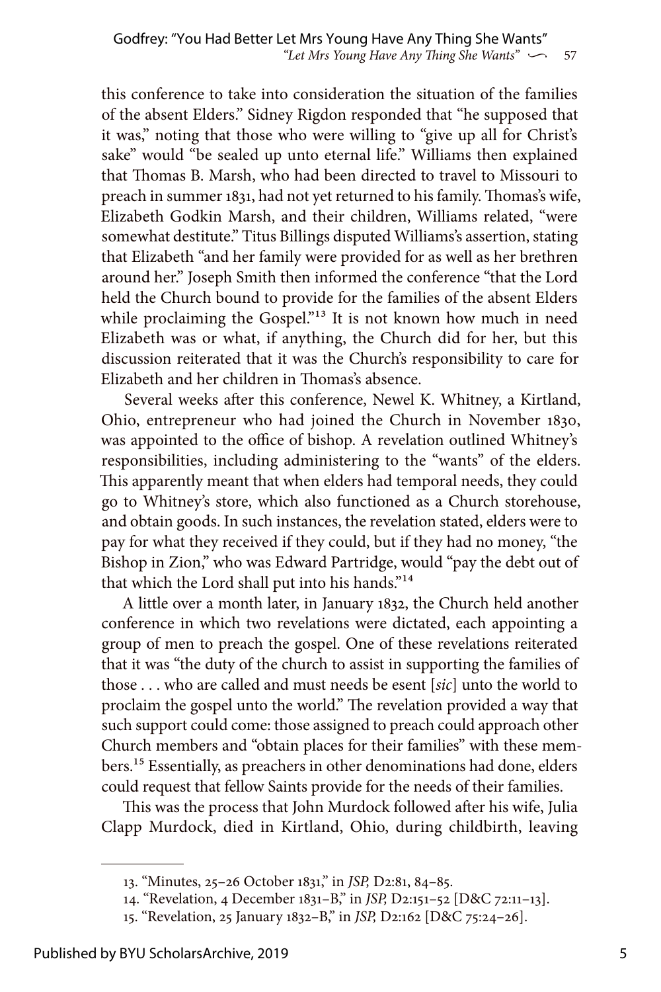this conference to take into consideration the situation of the families of the absent Elders." Sidney Rigdon responded that "he supposed that it was," noting that those who were willing to "give up all for Christ's sake" would "be sealed up unto eternal life." Williams then explained that Thomas B. Marsh, who had been directed to travel to Missouri to preach in summer 1831, had not yet returned to his family. Thomas's wife, Elizabeth Godkin Marsh, and their children, Williams related, "were somewhat destitute." Titus Billings disputed Williams's assertion, stating that Elizabeth "and her family were provided for as well as her brethren around her." Joseph Smith then informed the conference "that the Lord held the Church bound to provide for the families of the absent Elders while proclaiming the Gospel."<sup>13</sup> It is not known how much in need Elizabeth was or what, if anything, the Church did for her, but this discussion reiterated that it was the Church's responsibility to care for Elizabeth and her children in Thomas's absence.

Several weeks after this conference, Newel K. Whitney, a Kirtland, Ohio, entrepreneur who had joined the Church in November 1830, was appointed to the office of bishop. A revelation outlined Whitney's responsibilities, including administering to the "wants" of the elders. This apparently meant that when elders had temporal needs, they could go to Whitney's store, which also functioned as a Church storehouse, and obtain goods. In such instances, the revelation stated, elders were to pay for what they received if they could, but if they had no money, "the Bishop in Zion," who was Edward Partridge, would "pay the debt out of that which the Lord shall put into his hands."14

A little over a month later, in January 1832, the Church held another conference in which two revelations were dictated, each appointing a group of men to preach the gospel. One of these revelations reiterated that it was "the duty of the church to assist in supporting the families of those . . . who are called and must needs be esent [*sic*] unto the world to proclaim the gospel unto the world." The revelation provided a way that such support could come: those assigned to preach could approach other Church members and "obtain places for their families" with these members.15 Essentially, as preachers in other denominations had done, elders could request that fellow Saints provide for the needs of their families.

This was the process that John Murdock followed after his wife, Julia Clapp Murdock, died in Kirtland, Ohio, during childbirth, leaving

<sup>13. &</sup>quot;Minutes, 25–26 October 1831," in *JSP,* D2:81, 84–85.

<sup>14. &</sup>quot;Revelation, 4 December 1831–B," in *JSP,* D2:151–52 [D&C 72:11–13].

<sup>15. &</sup>quot;Revelation, 25 January 1832–B," in *JSP,* D2:162 [D&C 75:24–26].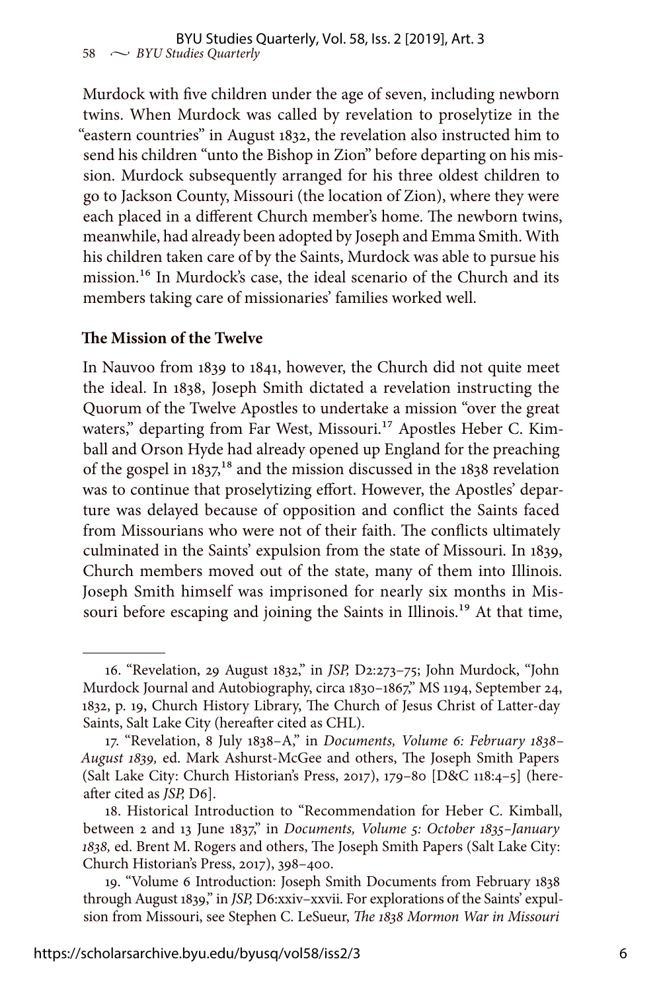Murdock with five children under the age of seven, including newborn twins. When Murdock was called by revelation to proselytize in the "eastern countries" in August 1832, the revelation also instructed him to send his children "unto the Bishop in Zion" before departing on his mission. Murdock subsequently arranged for his three oldest children to go to Jackson County, Missouri (the location of Zion), where they were each placed in a different Church member's home. The newborn twins, meanwhile, had already been adopted by Joseph and Emma Smith. With his children taken care of by the Saints, Murdock was able to pursue his mission.16 In Murdock's case, the ideal scenario of the Church and its members taking care of missionaries' families worked well.

#### **The Mission of the Twelve**

In Nauvoo from 1839 to 1841, however, the Church did not quite meet the ideal. In 1838, Joseph Smith dictated a revelation instructing the Quorum of the Twelve Apostles to undertake a mission "over the great waters," departing from Far West, Missouri.<sup>17</sup> Apostles Heber C. Kimball and Orson Hyde had already opened up England for the preaching of the gospel in  $1837^{18}$  and the mission discussed in the  $1838$  revelation was to continue that proselytizing effort. However, the Apostles' departure was delayed because of opposition and conflict the Saints faced from Missourians who were not of their faith. The conflicts ultimately culminated in the Saints' expulsion from the state of Missouri. In 1839, Church members moved out of the state, many of them into Illinois. Joseph Smith himself was imprisoned for nearly six months in Missouri before escaping and joining the Saints in Illinois.<sup>19</sup> At that time,

<sup>16. &</sup>quot;Revelation, 29 August 1832," in *JSP,* D2:273–75; John Murdock, "John Murdock Journal and Autobiography, circa 1830–1867," MS 1194, September 24, 1832, p. 19, Church History Library, The Church of Jesus Christ of Latter-day Saints, Salt Lake City (hereafter cited as CHL).

<sup>17. &</sup>quot;Revelation, 8 July 1838–A," in *Documents, Volume 6: February 1838– August 1839,* ed. Mark Ashurst-McGee and others, The Joseph Smith Papers (Salt Lake City: Church Historian's Press, 2017), 179–80 [D&C 118:4–5] (hereafter cited as *JSP,* D6].

<sup>18.</sup> Historical Introduction to "Recommendation for Heber C. Kimball, between 2 and 13 June 1837," in *Documents, Volume 5: October 1835–January 1838,* ed. Brent M. Rogers and others, The Joseph Smith Papers (Salt Lake City: Church Historian's Press, 2017), 398–400.

<sup>19. &</sup>quot;Volume 6 Introduction: Joseph Smith Documents from February 1838 through August 1839," in *JSP,* D6:xxiv–xxvii. For explorations of the Saints' expulsion from Missouri, see Stephen C. LeSueur, *The 1838 Mormon War in Missouri*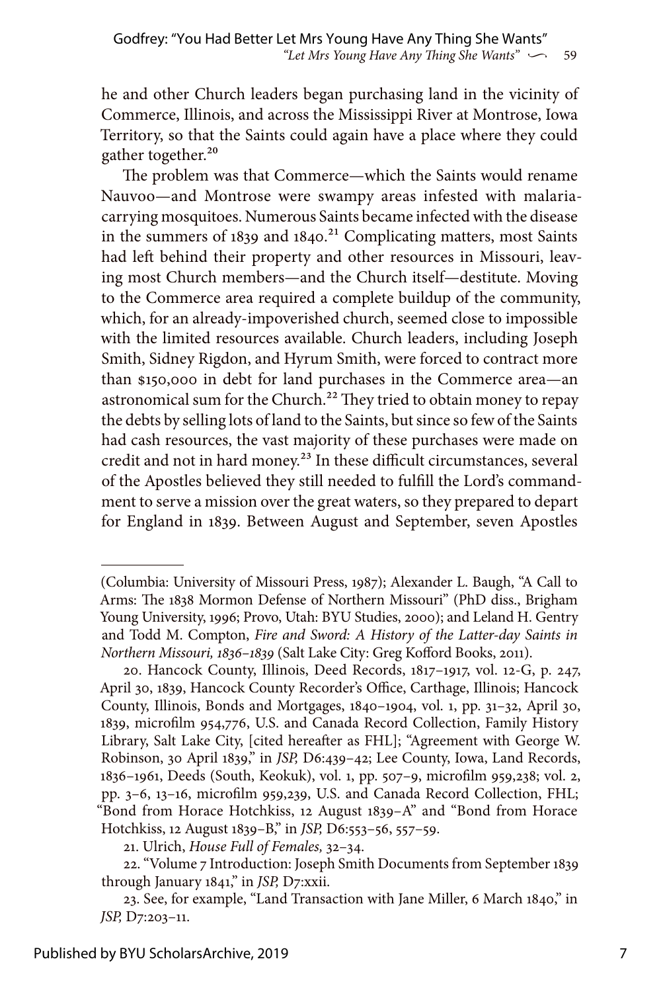he and other Church leaders began purchasing land in the vicinity of Commerce, Illinois, and across the Mississippi River at Montrose, Iowa Territory, so that the Saints could again have a place where they could gather together.<sup>20</sup>

The problem was that Commerce—which the Saints would rename Nauvoo—and Montrose were swampy areas infested with malariacarrying mosquitoes. Numerous Saints became infected with the disease in the summers of  $1839$  and  $1840.<sup>21</sup>$  Complicating matters, most Saints had left behind their property and other resources in Missouri, leaving most Church members—and the Church itself—destitute. Moving to the Commerce area required a complete buildup of the community, which, for an already-impoverished church, seemed close to impossible with the limited resources available. Church leaders, including Joseph Smith, Sidney Rigdon, and Hyrum Smith, were forced to contract more than \$150,000 in debt for land purchases in the Commerce area—an astronomical sum for the Church.<sup>22</sup> They tried to obtain money to repay the debts by selling lots of land to the Saints, but since so few of the Saints had cash resources, the vast majority of these purchases were made on credit and not in hard money.<sup>23</sup> In these difficult circumstances, several of the Apostles believed they still needed to fulfill the Lord's commandment to serve a mission over the great waters, so they prepared to depart for England in 1839. Between August and September, seven Apostles

<sup>(</sup>Columbia: University of Missouri Press, 1987); Alexander L. Baugh, "A Call to Arms: The 1838 Mormon Defense of Northern Missouri" (PhD diss., Brigham Young University, 1996; Provo, Utah: BYU Studies, 2000); and Leland H. Gentry and Todd M. Compton, *Fire and Sword: A History of the Latter-day Saints in Northern Missouri, 1836–1839* (Salt Lake City: Greg Kofford Books, 2011).

<sup>20.</sup> Hancock County, Illinois, Deed Records, 1817–1917, vol. 12-G, p. 247, April 30, 1839, Hancock County Recorder's Office, Carthage, Illinois; Hancock County, Illinois, Bonds and Mortgages, 1840–1904, vol. 1, pp. 31–32, April 30, 1839, microfilm 954,776, U.S. and Canada Record Collection, Family History Library, Salt Lake City, [cited hereafter as FHL]; "Agreement with George W. Robinson, 30 April 1839," in *JSP,* D6:439–42; Lee County, Iowa, Land Records, 1836–1961, Deeds (South, Keokuk), vol. 1, pp. 507–9, microfilm 959,238; vol. 2, pp. 3–6, 13–16, microfilm 959,239, U.S. and Canada Record Collection, FHL; "Bond from Horace Hotchkiss, 12 August 1839–A" and "Bond from Horace Hotchkiss, 12 August 1839–B," in *JSP,* D6:553–56, 557–59.

<sup>21.</sup> Ulrich, *House Full of Females,* 32–34.

<sup>22. &</sup>quot;Volume 7 Introduction: Joseph Smith Documents from September 1839 through January 1841," in *JSP,* D7:xxii.

<sup>23.</sup> See, for example, "Land Transaction with Jane Miller, 6 March 1840," in *JSP,* D7:203–11.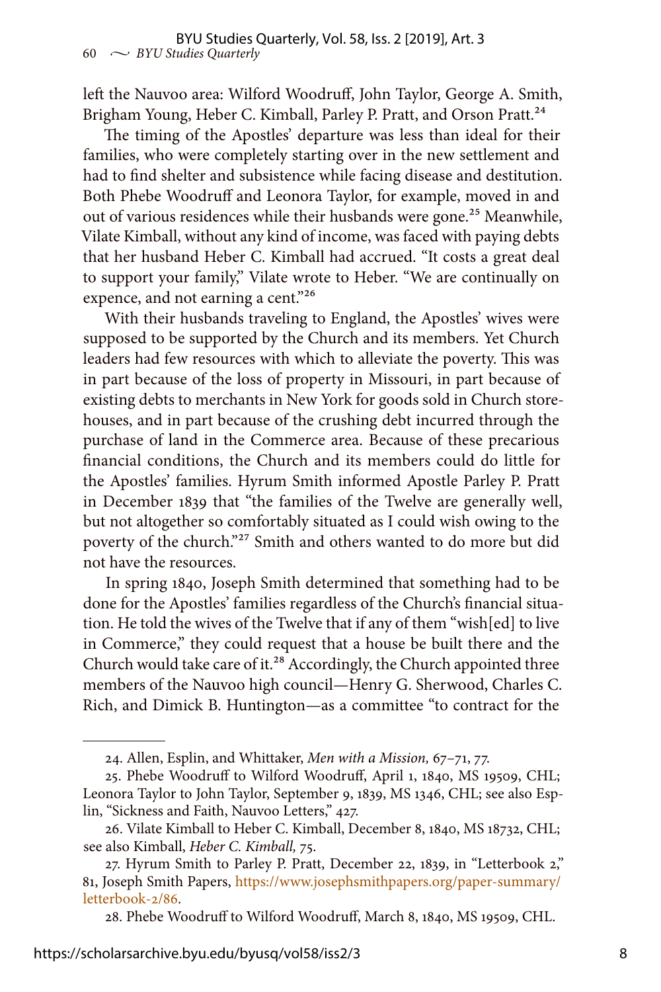left the Nauvoo area: Wilford Woodruff, John Taylor, George A. Smith, Brigham Young, Heber C. Kimball, Parley P. Pratt, and Orson Pratt.<sup>24</sup>

The timing of the Apostles' departure was less than ideal for their families, who were completely starting over in the new settlement and had to find shelter and subsistence while facing disease and destitution. Both Phebe Woodruff and Leonora Taylor, for example, moved in and out of various residences while their husbands were gone.<sup>25</sup> Meanwhile, Vilate Kimball, without any kind of income, was faced with paying debts that her husband Heber C. Kimball had accrued. "It costs a great deal to support your family," Vilate wrote to Heber. "We are continually on expence, and not earning a cent."<sup>26</sup>

With their husbands traveling to England, the Apostles' wives were supposed to be supported by the Church and its members. Yet Church leaders had few resources with which to alleviate the poverty. This was in part because of the loss of property in Missouri, in part because of existing debts to merchants in New York for goods sold in Church storehouses, and in part because of the crushing debt incurred through the purchase of land in the Commerce area. Because of these precarious financial conditions, the Church and its members could do little for the Apostles' families. Hyrum Smith informed Apostle Parley P. Pratt in December 1839 that "the families of the Twelve are generally well, but not altogether so comfortably situated as I could wish owing to the poverty of the church."27 Smith and others wanted to do more but did not have the resources.

In spring 1840, Joseph Smith determined that something had to be done for the Apostles' families regardless of the Church's financial situation. He told the wives of the Twelve that if any of them "wish[ed] to live in Commerce," they could request that a house be built there and the Church would take care of it.<sup>28</sup> Accordingly, the Church appointed three members of the Nauvoo high council—Henry G. Sherwood, Charles C. Rich, and Dimick B. Huntington—as a committee "to contract for the

28. Phebe Woodruff to Wilford Woodruff, March 8, 1840, MS 19509, CHL.

<sup>24.</sup> Allen, Esplin, and Whittaker, *Men with a Mission,* 67–71, 77.

<sup>25.</sup> Phebe Woodruff to Wilford Woodruff, April 1, 1840, MS 19509, CHL; Leonora Taylor to John Taylor, September 9, 1839, MS 1346, CHL; see also Esplin, "Sickness and Faith, Nauvoo Letters," 427.

<sup>26.</sup> Vilate Kimball to Heber C. Kimball, December 8, 1840, MS 18732, CHL; see also Kimball, *Heber C. Kimball,* 75.

<sup>27.</sup> Hyrum Smith to Parley P. Pratt, December 22, 1839, in "Letterbook 2," 81, Joseph Smith Papers, [https://www.josephsmithpapers.org/paper-summary/](https://www.josephsmithpapers.org/paper-summary/letterbook-2/86) [letterbook-2/86](https://www.josephsmithpapers.org/paper-summary/letterbook-2/86).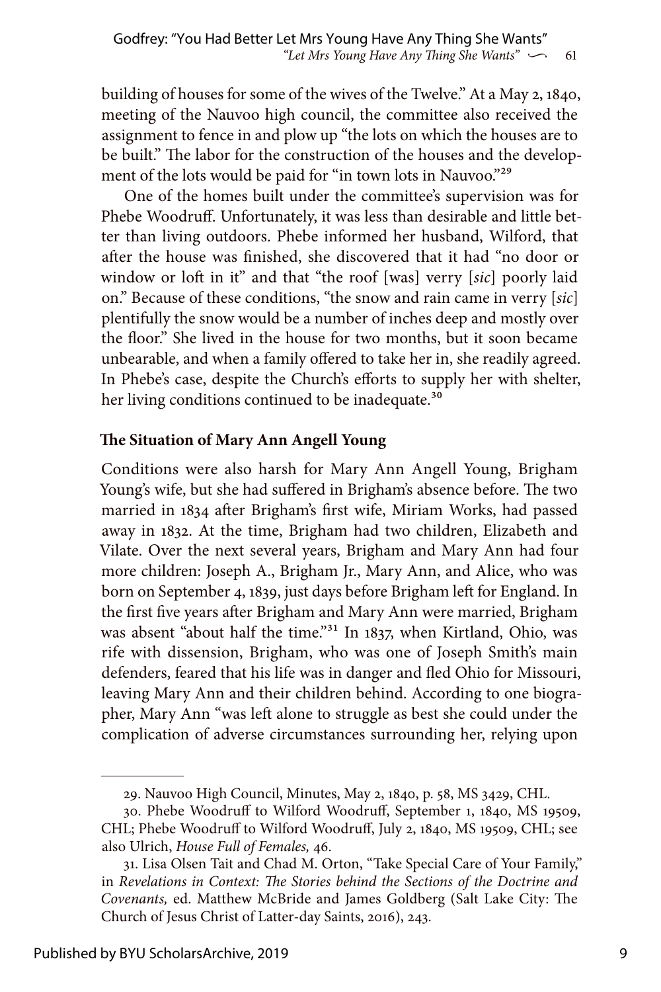building of houses for some of the wives of the Twelve." At a May 2, 1840, meeting of the Nauvoo high council, the committee also received the assignment to fence in and plow up "the lots on which the houses are to be built." The labor for the construction of the houses and the development of the lots would be paid for "in town lots in Nauvoo."<sup>29</sup>

One of the homes built under the committee's supervision was for Phebe Woodruff. Unfortunately, it was less than desirable and little better than living outdoors. Phebe informed her husband, Wilford, that after the house was finished, she discovered that it had "no door or window or loft in it" and that "the roof [was] verry [*sic*] poorly laid on." Because of these conditions, "the snow and rain came in verry [*sic*] plentifully the snow would be a number of inches deep and mostly over the floor." She lived in the house for two months, but it soon became unbearable, and when a family offered to take her in, she readily agreed. In Phebe's case, despite the Church's efforts to supply her with shelter, her living conditions continued to be inadequate.<sup>30</sup>

#### **The Situation of Mary Ann Angell Young**

Conditions were also harsh for Mary Ann Angell Young, Brigham Young's wife, but she had suffered in Brigham's absence before. The two married in 1834 after Brigham's first wife, Miriam Works, had passed away in 1832. At the time, Brigham had two children, Elizabeth and Vilate. Over the next several years, Brigham and Mary Ann had four more children: Joseph A., Brigham Jr., Mary Ann, and Alice, who was born on September 4, 1839, just days before Brigham left for England. In the first five years after Brigham and Mary Ann were married, Brigham was absent "about half the time."<sup>31</sup> In 1837, when Kirtland, Ohio, was rife with dissension, Brigham, who was one of Joseph Smith's main defenders, feared that his life was in danger and fled Ohio for Missouri, leaving Mary Ann and their children behind. According to one biographer, Mary Ann "was left alone to struggle as best she could under the complication of adverse circumstances surrounding her, relying upon

<sup>29.</sup> Nauvoo High Council, Minutes, May 2, 1840, p. 58, MS 3429, CHL.

<sup>30.</sup> Phebe Woodruff to Wilford Woodruff, September 1, 1840, MS 19509, CHL; Phebe Woodruff to Wilford Woodruff, July 2, 1840, MS 19509, CHL; see also Ulrich, *House Full of Females,* 46.

<sup>31.</sup> Lisa Olsen Tait and Chad M. Orton, "Take Special Care of Your Family," in *Revelations in Context: The Stories behind the Sections of the Doctrine and Covenants,* ed. Matthew McBride and James Goldberg (Salt Lake City: The Church of Jesus Christ of Latter-day Saints, 2016), 243.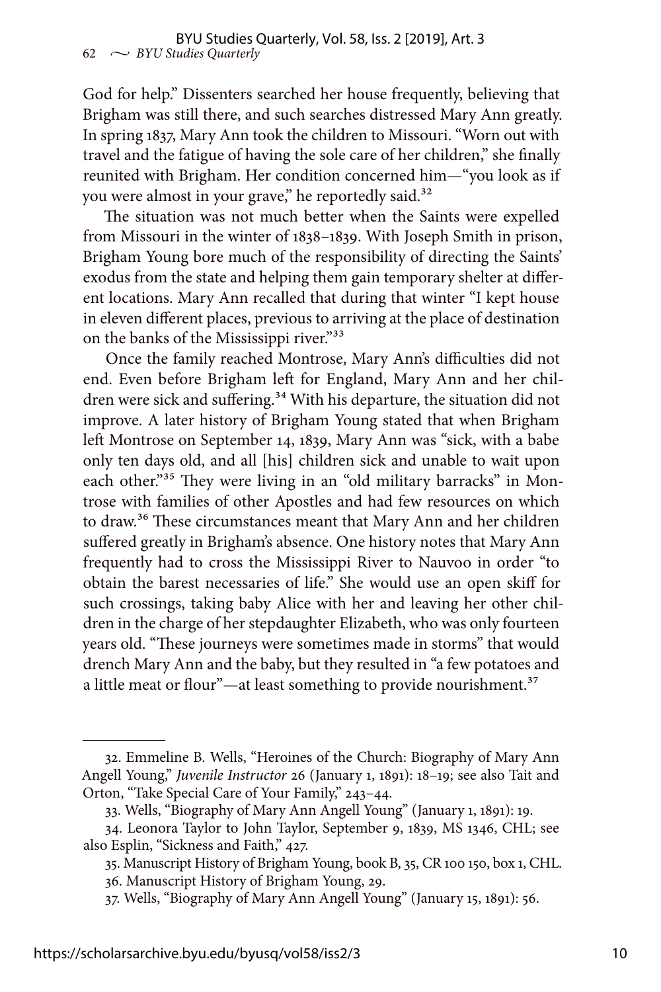God for help." Dissenters searched her house frequently, believing that Brigham was still there, and such searches distressed Mary Ann greatly. In spring 1837, Mary Ann took the children to Missouri. "Worn out with travel and the fatigue of having the sole care of her children," she finally reunited with Brigham. Her condition concerned him—"you look as if you were almost in your grave," he reportedly said.<sup>32</sup>

The situation was not much better when the Saints were expelled from Missouri in the winter of 1838–1839. With Joseph Smith in prison, Brigham Young bore much of the responsibility of directing the Saints' exodus from the state and helping them gain temporary shelter at different locations. Mary Ann recalled that during that winter "I kept house in eleven different places, previous to arriving at the place of destination on the banks of the Mississippi river."33

Once the family reached Montrose, Mary Ann's difficulties did not end. Even before Brigham left for England, Mary Ann and her children were sick and suffering.<sup>34</sup> With his departure, the situation did not improve. A later history of Brigham Young stated that when Brigham left Montrose on September 14, 1839, Mary Ann was "sick, with a babe only ten days old, and all [his] children sick and unable to wait upon each other."<sup>35</sup> They were living in an "old military barracks" in Montrose with families of other Apostles and had few resources on which to draw.<sup>36</sup> These circumstances meant that Mary Ann and her children suffered greatly in Brigham's absence. One history notes that Mary Ann frequently had to cross the Mississippi River to Nauvoo in order "to obtain the barest necessaries of life." She would use an open skiff for such crossings, taking baby Alice with her and leaving her other children in the charge of her stepdaughter Elizabeth, who was only fourteen years old. "These journeys were sometimes made in storms" that would drench Mary Ann and the baby, but they resulted in "a few potatoes and a little meat or flour"—at least something to provide nourishment. $37$ 

<sup>32.</sup> Emmeline B. Wells, "Heroines of the Church: Biography of Mary Ann Angell Young," *Juvenile Instructor* 26 (January 1, 1891): 18–19; see also Tait and Orton, "Take Special Care of Your Family," 243–44.

<sup>33.</sup> Wells, "Biography of Mary Ann Angell Young" (January 1, 1891): 19.

<sup>34.</sup> Leonora Taylor to John Taylor, September 9, 1839, MS 1346, CHL; see also Esplin, "Sickness and Faith," 427.

<sup>35.</sup> Manuscript History of Brigham Young, book B, 35, CR 100 150, box 1, CHL. 36. Manuscript History of Brigham Young, 29.

<sup>37.</sup> Wells, "Biography of Mary Ann Angell Young" (January 15, 1891): 56.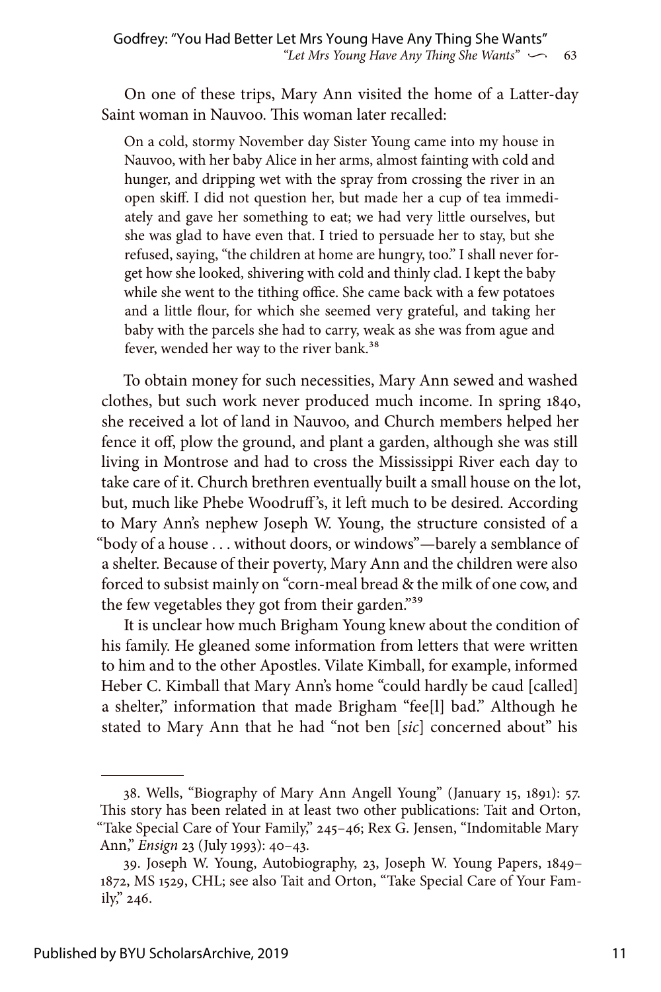On one of these trips, Mary Ann visited the home of a Latter-day Saint woman in Nauvoo. This woman later recalled:

On a cold, stormy November day Sister Young came into my house in Nauvoo, with her baby Alice in her arms, almost fainting with cold and hunger, and dripping wet with the spray from crossing the river in an open skiff. I did not question her, but made her a cup of tea immediately and gave her something to eat; we had very little ourselves, but she was glad to have even that. I tried to persuade her to stay, but she refused, saying, "the children at home are hungry, too." I shall never forget how she looked, shivering with cold and thinly clad. I kept the baby while she went to the tithing office. She came back with a few potatoes and a little flour, for which she seemed very grateful, and taking her baby with the parcels she had to carry, weak as she was from ague and fever, wended her way to the river bank.<sup>38</sup>

To obtain money for such necessities, Mary Ann sewed and washed clothes, but such work never produced much income. In spring 1840, she received a lot of land in Nauvoo, and Church members helped her fence it off, plow the ground, and plant a garden, although she was still living in Montrose and had to cross the Mississippi River each day to take care of it. Church brethren eventually built a small house on the lot, but, much like Phebe Woodruff 's, it left much to be desired. According to Mary Ann's nephew Joseph W. Young, the structure consisted of a "body of a house . . . without doors, or windows"—barely a semblance of a shelter. Because of their poverty, Mary Ann and the children were also forced to subsist mainly on "corn-meal bread & the milk of one cow, and the few vegetables they got from their garden."39

It is unclear how much Brigham Young knew about the condition of his family. He gleaned some information from letters that were written to him and to the other Apostles. Vilate Kimball, for example, informed Heber C. Kimball that Mary Ann's home "could hardly be caud [called] a shelter," information that made Brigham "fee[l] bad." Although he stated to Mary Ann that he had "not ben [*sic*] concerned about" his

<sup>38.</sup> Wells, "Biography of Mary Ann Angell Young" (January 15, 1891): 57. This story has been related in at least two other publications: Tait and Orton, "Take Special Care of Your Family," 245–46; Rex G. Jensen, "Indomitable Mary Ann," *Ensign* 23 (July 1993): 40–43.

<sup>39.</sup> Joseph W. Young, Autobiography, 23, Joseph W. Young Papers, 1849– 1872, MS 1529, CHL; see also Tait and Orton, "Take Special Care of Your Family," 246.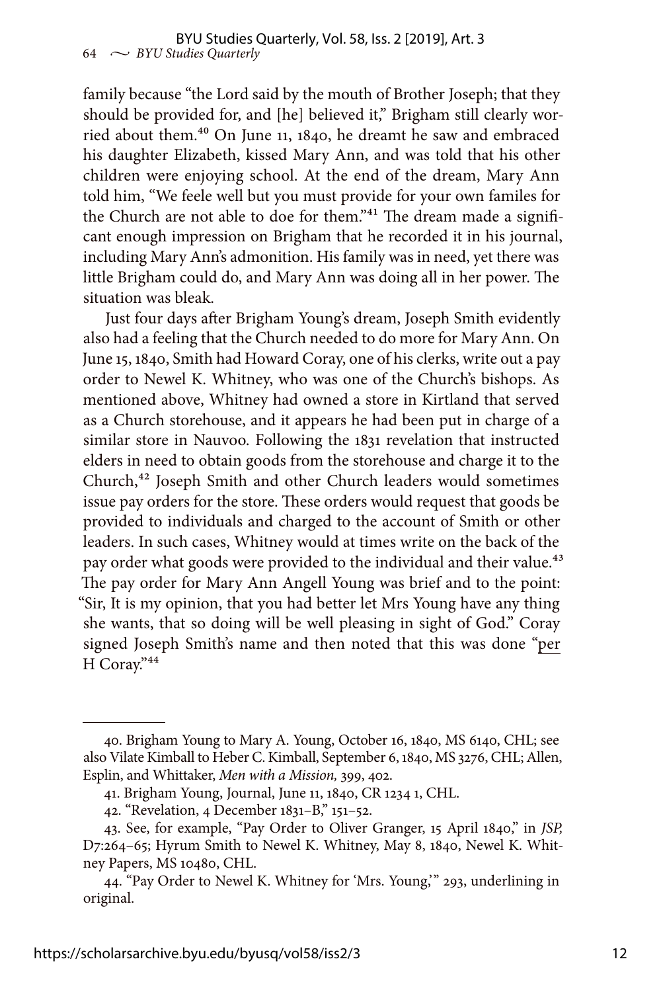family because "the Lord said by the mouth of Brother Joseph; that they should be provided for, and [he] believed it," Brigham still clearly worried about them.40 On June 11, 1840, he dreamt he saw and embraced his daughter Elizabeth, kissed Mary Ann, and was told that his other children were enjoying school. At the end of the dream, Mary Ann told him, "We feele well but you must provide for your own familes for the Church are not able to doe for them."<sup>41</sup> The dream made a significant enough impression on Brigham that he recorded it in his journal, including Mary Ann's admonition. His family was in need, yet there was little Brigham could do, and Mary Ann was doing all in her power. The situation was bleak.

Just four days after Brigham Young's dream, Joseph Smith evidently also had a feeling that the Church needed to do more for Mary Ann. On June 15, 1840, Smith had Howard Coray, one of his clerks, write out a pay order to Newel K. Whitney, who was one of the Church's bishops. As mentioned above, Whitney had owned a store in Kirtland that served as a Church storehouse, and it appears he had been put in charge of a similar store in Nauvoo. Following the 1831 revelation that instructed elders in need to obtain goods from the storehouse and charge it to the Church,42 Joseph Smith and other Church leaders would sometimes issue pay orders for the store. These orders would request that goods be provided to individuals and charged to the account of Smith or other leaders. In such cases, Whitney would at times write on the back of the pay order what goods were provided to the individual and their value.<sup>43</sup> The pay order for Mary Ann Angell Young was brief and to the point: "Sir, It is my opinion, that you had better let Mrs Young have any thing she wants, that so doing will be well pleasing in sight of God." Coray signed Joseph Smith's name and then noted that this was done "per H Coray."44

<sup>40.</sup> Brigham Young to Mary A. Young, October 16, 1840, MS 6140, CHL; see also Vilate Kimball to Heber C. Kimball, September 6, 1840, MS 3276, CHL; Allen, Esplin, and Whittaker, *Men with a Mission,* 399, 402.

<sup>41.</sup> Brigham Young, Journal, June 11, 1840, CR 1234 1, CHL.

<sup>42. &</sup>quot;Revelation, 4 December 1831–B," 151–52.

<sup>43.</sup> See, for example, "Pay Order to Oliver Granger, 15 April 1840," in *JSP,* D7:264–65; Hyrum Smith to Newel K. Whitney, May 8, 1840, Newel K. Whitney Papers, MS 10480, CHL.

<sup>44. &</sup>quot;Pay Order to Newel K. Whitney for 'Mrs. Young,'" 293, underlining in original.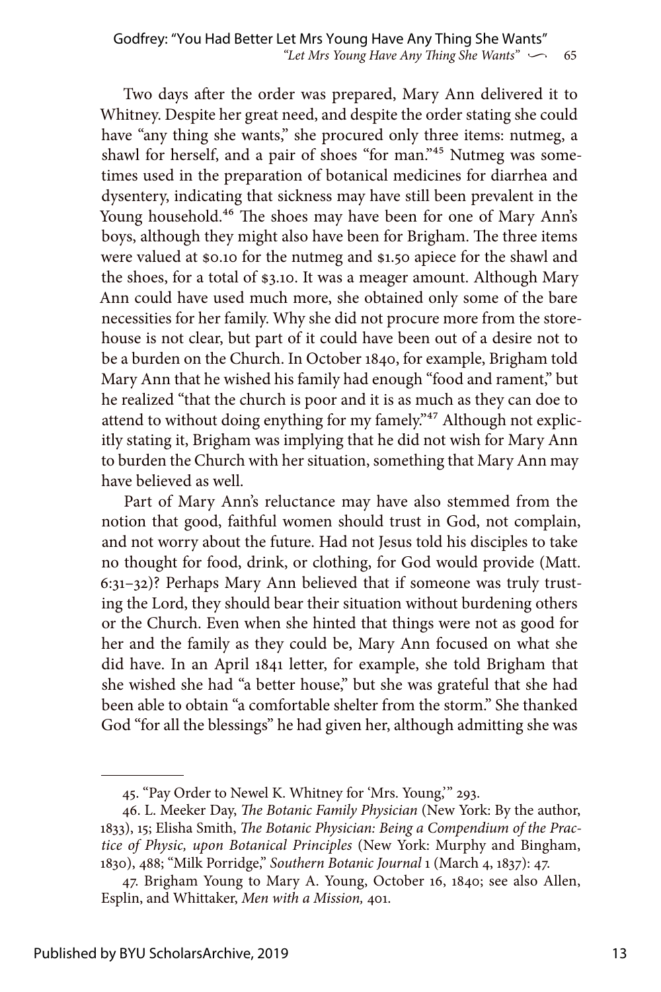Two days after the order was prepared, Mary Ann delivered it to Whitney. Despite her great need, and despite the order stating she could have "any thing she wants," she procured only three items: nutmeg, a shawl for herself, and a pair of shoes "for man."<sup>45</sup> Nutmeg was sometimes used in the preparation of botanical medicines for diarrhea and dysentery, indicating that sickness may have still been prevalent in the Young household.<sup>46</sup> The shoes may have been for one of Mary Ann's boys, although they might also have been for Brigham. The three items were valued at \$0.10 for the nutmeg and \$1.50 apiece for the shawl and the shoes, for a total of \$3.10. It was a meager amount. Although Mary Ann could have used much more, she obtained only some of the bare necessities for her family. Why she did not procure more from the storehouse is not clear, but part of it could have been out of a desire not to be a burden on the Church. In October 1840, for example, Brigham told Mary Ann that he wished his family had enough "food and rament," but he realized "that the church is poor and it is as much as they can doe to attend to without doing enything for my famely."<sup>47</sup> Although not explicitly stating it, Brigham was implying that he did not wish for Mary Ann to burden the Church with her situation, something that Mary Ann may have believed as well.

Part of Mary Ann's reluctance may have also stemmed from the notion that good, faithful women should trust in God, not complain, and not worry about the future. Had not Jesus told his disciples to take no thought for food, drink, or clothing, for God would provide (Matt. 6:31–32)? Perhaps Mary Ann believed that if someone was truly trusting the Lord, they should bear their situation without burdening others or the Church. Even when she hinted that things were not as good for her and the family as they could be, Mary Ann focused on what she did have. In an April 1841 letter, for example, she told Brigham that she wished she had "a better house," but she was grateful that she had been able to obtain "a comfortable shelter from the storm." She thanked God "for all the blessings" he had given her, although admitting she was

<sup>45. &</sup>quot;Pay Order to Newel K. Whitney for 'Mrs. Young,'" 293.

<sup>46.</sup> L. Meeker Day, *The Botanic Family Physician* (New York: By the author, 1833), 15; Elisha Smith, *The Botanic Physician: Being a Compendium of the Practice of Physic, upon Botanical Principles* (New York: Murphy and Bingham, 1830), 488; "Milk Porridge," *Southern Botanic Journal* 1 (March 4, 1837): 47.

<sup>47.</sup> Brigham Young to Mary A. Young, October 16, 1840; see also Allen, Esplin, and Whittaker, *Men with a Mission,* 401.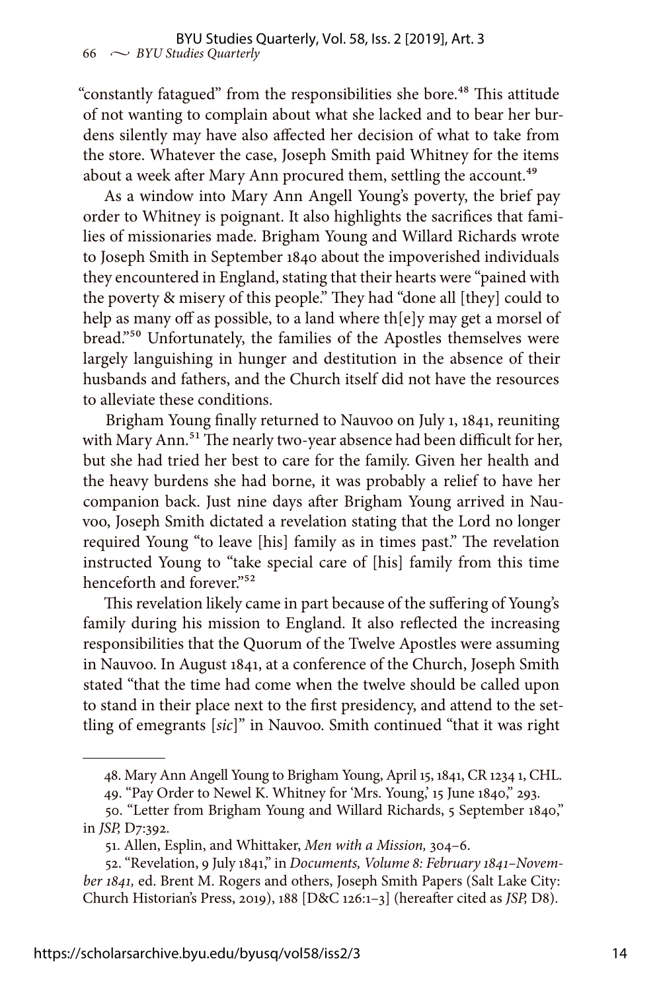"constantly fatagued" from the responsibilities she bore.<sup>48</sup> This attitude of not wanting to complain about what she lacked and to bear her burdens silently may have also affected her decision of what to take from the store. Whatever the case, Joseph Smith paid Whitney for the items about a week after Mary Ann procured them, settling the account.<sup>49</sup>

As a window into Mary Ann Angell Young's poverty, the brief pay order to Whitney is poignant. It also highlights the sacrifices that families of missionaries made. Brigham Young and Willard Richards wrote to Joseph Smith in September 1840 about the impoverished individuals they encountered in England, stating that their hearts were "pained with the poverty & misery of this people." They had "done all [they] could to help as many off as possible, to a land where th[e]y may get a morsel of bread."50 Unfortunately, the families of the Apostles themselves were largely languishing in hunger and destitution in the absence of their husbands and fathers, and the Church itself did not have the resources to alleviate these conditions.

Brigham Young finally returned to Nauvoo on July 1, 1841, reuniting with Mary Ann.<sup>51</sup> The nearly two-year absence had been difficult for her, but she had tried her best to care for the family. Given her health and the heavy burdens she had borne, it was probably a relief to have her companion back. Just nine days after Brigham Young arrived in Nauvoo, Joseph Smith dictated a revelation stating that the Lord no longer required Young "to leave [his] family as in times past." The revelation instructed Young to "take special care of [his] family from this time henceforth and forever."<sup>52</sup>

This revelation likely came in part because of the suffering of Young's family during his mission to England. It also reflected the increasing responsibilities that the Quorum of the Twelve Apostles were assuming in Nauvoo. In August 1841, at a conference of the Church, Joseph Smith stated "that the time had come when the twelve should be called upon to stand in their place next to the first presidency, and attend to the settling of emegrants [*sic*]" in Nauvoo. Smith continued "that it was right

<sup>48.</sup> Mary Ann Angell Young to Brigham Young, April 15, 1841, CR 1234 1, CHL.

<sup>49. &</sup>quot;Pay Order to Newel K. Whitney for 'Mrs. Young,' 15 June 1840," 293.

<sup>50. &</sup>quot;Letter from Brigham Young and Willard Richards, 5 September 1840," in *JSP,* D7:392.

<sup>51.</sup> Allen, Esplin, and Whittaker, *Men with a Mission,* 304–6.

<sup>52. &</sup>quot;Revelation, 9 July 1841," in *Documents, Volume 8: February 1841–November 1841,* ed. Brent M. Rogers and others, Joseph Smith Papers (Salt Lake City: Church Historian's Press, 2019), 188 [D&C 126:1–3] (hereafter cited as *JSP,* D8).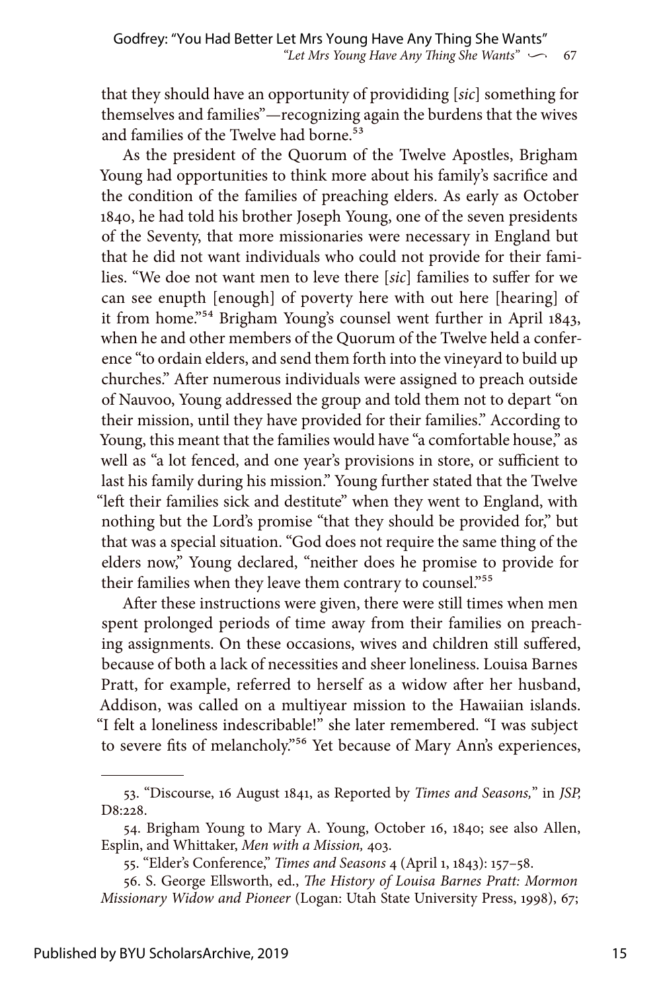that they should have an opportunity of provididing [*sic*] something for themselves and families"—recognizing again the burdens that the wives and families of the Twelve had borne.<sup>53</sup>

As the president of the Quorum of the Twelve Apostles, Brigham Young had opportunities to think more about his family's sacrifice and the condition of the families of preaching elders. As early as October 1840, he had told his brother Joseph Young, one of the seven presidents of the Seventy, that more missionaries were necessary in England but that he did not want individuals who could not provide for their families. "We doe not want men to leve there [*sic*] families to suffer for we can see enupth [enough] of poverty here with out here [hearing] of it from home."54 Brigham Young's counsel went further in April 1843, when he and other members of the Quorum of the Twelve held a conference "to ordain elders, and send them forth into the vineyard to build up churches." After numerous individuals were assigned to preach outside of Nauvoo, Young addressed the group and told them not to depart "on their mission, until they have provided for their families." According to Young, this meant that the families would have "a comfortable house," as well as "a lot fenced, and one year's provisions in store, or sufficient to last his family during his mission." Young further stated that the Twelve "left their families sick and destitute" when they went to England, with nothing but the Lord's promise "that they should be provided for," but that was a special situation. "God does not require the same thing of the elders now," Young declared, "neither does he promise to provide for their families when they leave them contrary to counsel."<sup>55</sup>

After these instructions were given, there were still times when men spent prolonged periods of time away from their families on preaching assignments. On these occasions, wives and children still suffered, because of both a lack of necessities and sheer loneliness. Louisa Barnes Pratt, for example, referred to herself as a widow after her husband, Addison, was called on a multiyear mission to the Hawaiian islands. "I felt a loneliness indescribable!" she later remembered. "I was subject to severe fits of melancholy."<sup>56</sup> Yet because of Mary Ann's experiences,

<sup>53. &</sup>quot;Discourse, 16 August 1841, as Reported by *Times and Seasons,*" in *JSP,* D8:228.

<sup>54.</sup> Brigham Young to Mary A. Young, October 16, 1840; see also Allen, Esplin, and Whittaker, *Men with a Mission,* 403.

<sup>55. &</sup>quot;Elder's Conference," *Times and Seasons* 4 (April 1, 1843): 157–58.

<sup>56.</sup> S. George Ellsworth, ed., *The History of Louisa Barnes Pratt: Mormon Missionary Widow and Pioneer* (Logan: Utah State University Press, 1998), 67;